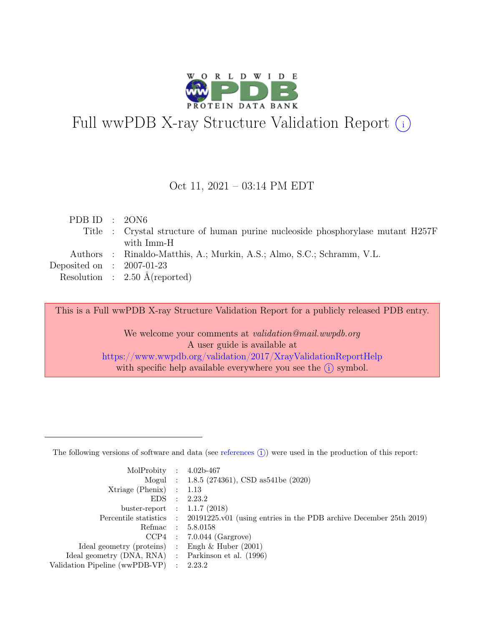

# Full wwPDB X-ray Structure Validation Report  $(i)$

#### Oct 11, 2021 – 03:14 PM EDT

| PDB ID : $20N6$             |                                                                                 |
|-----------------------------|---------------------------------------------------------------------------------|
|                             | Title : Crystal structure of human purine nucleoside phosphorylase mutant H257F |
|                             | with Imm-H                                                                      |
|                             | Authors : Rinaldo-Matthis, A.; Murkin, A.S.; Almo, S.C.; Schramm, V.L.          |
| Deposited on : $2007-01-23$ |                                                                                 |
|                             | Resolution : $2.50 \text{ Å}$ (reported)                                        |
|                             |                                                                                 |

This is a Full wwPDB X-ray Structure Validation Report for a publicly released PDB entry.

We welcome your comments at *validation@mail.wwpdb.org* A user guide is available at <https://www.wwpdb.org/validation/2017/XrayValidationReportHelp> with specific help available everywhere you see the  $(i)$  symbol.

The following versions of software and data (see [references](https://www.wwpdb.org/validation/2017/XrayValidationReportHelp#references)  $(i)$ ) were used in the production of this report:

| MolProbity : $4.02b-467$                            |                                                                                            |
|-----------------------------------------------------|--------------------------------------------------------------------------------------------|
|                                                     |                                                                                            |
|                                                     | Mogul : 1.8.5 (274361), CSD as 541 be (2020)                                               |
| $Xtriangle (Phenix)$ : 1.13                         |                                                                                            |
|                                                     | EDS : 2.23.2                                                                               |
| buster-report : $1.1.7$ (2018)                      |                                                                                            |
|                                                     | Percentile statistics : 20191225.v01 (using entries in the PDB archive December 25th 2019) |
| Refmac : 5.8.0158                                   |                                                                                            |
|                                                     | $CCP4$ : 7.0.044 (Gargrove)                                                                |
| Ideal geometry (proteins) : Engh $\&$ Huber (2001)  |                                                                                            |
| Ideal geometry (DNA, RNA) : Parkinson et al. (1996) |                                                                                            |
| Validation Pipeline (wwPDB-VP) : 2.23.2             |                                                                                            |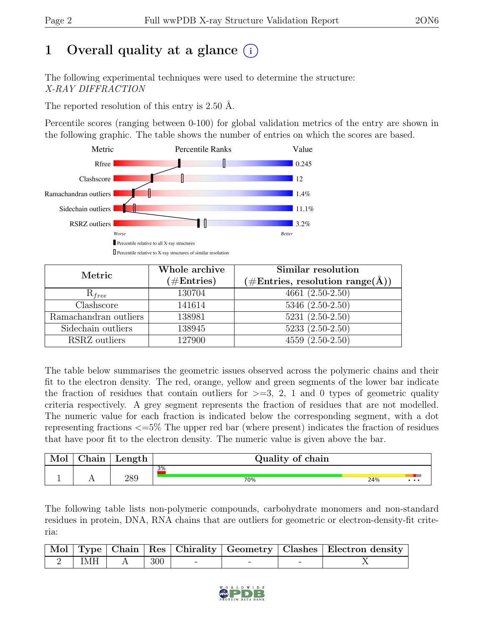# 1 Overall quality at a glance  $(i)$

The following experimental techniques were used to determine the structure: X-RAY DIFFRACTION

The reported resolution of this entry is 2.50 Å.

Percentile scores (ranging between 0-100) for global validation metrics of the entry are shown in the following graphic. The table shows the number of entries on which the scores are based.



| Metric                | Whole archive<br>$(\# \text{Entries})$ | Similar resolution<br>$(\# \text{Entries}, \text{ resolution range}(\AA))$ |
|-----------------------|----------------------------------------|----------------------------------------------------------------------------|
| $R_{free}$            | 130704                                 | $4661 (2.50-2.50)$                                                         |
| Clashscore            | 141614                                 | $5346 (2.50 - 2.50)$                                                       |
| Ramachandran outliers | 138981                                 | $5231 (2.50 - 2.50)$                                                       |
| Sidechain outliers    | 138945                                 | $5233(2.50-2.50)$                                                          |
| RSRZ outliers         | 127900                                 | $4559(2.50-2.50)$                                                          |

The table below summarises the geometric issues observed across the polymeric chains and their fit to the electron density. The red, orange, yellow and green segments of the lower bar indicate the fraction of residues that contain outliers for  $\geq=3$ , 2, 1 and 0 types of geometric quality criteria respectively. A grey segment represents the fraction of residues that are not modelled. The numeric value for each fraction is indicated below the corresponding segment, with a dot representing fractions <=5% The upper red bar (where present) indicates the fraction of residues that have poor fit to the electron density. The numeric value is given above the bar.

| Mol | 'hain | Length | Quality of chain |     |          |
|-----|-------|--------|------------------|-----|----------|
|     |       |        | 3%               |     |          |
|     |       | 289    | 70%              | 24% | $\cdots$ |

The following table lists non-polymeric compounds, carbohydrate monomers and non-standard residues in protein, DNA, RNA chains that are outliers for geometric or electron-density-fit criteria:

|                         |     |  | Mol   Type   Chain   Res   Chirality   Geometry   Clashes   Electron density |
|-------------------------|-----|--|------------------------------------------------------------------------------|
| $\sim$ 2   IMH   $\sim$ | 300 |  |                                                                              |

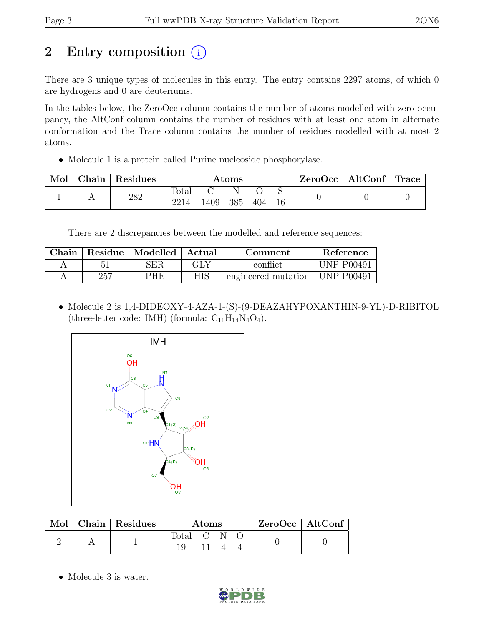# 2 Entry composition (i)

There are 3 unique types of molecules in this entry. The entry contains 2297 atoms, of which 0 are hydrogens and 0 are deuteriums.

In the tables below, the ZeroOcc column contains the number of atoms modelled with zero occupancy, the AltConf column contains the number of residues with at least one atom in alternate conformation and the Trace column contains the number of residues modelled with at most 2 atoms.

• Molecule 1 is a protein called Purine nucleoside phosphorylase.

| Mol | Chain | $\vert$ Residues | $\rm{Atoms}$  |      |          | ZeroOcc | $\vert$ AltConf $\vert$ Trace $\vert$ |  |  |  |
|-----|-------|------------------|---------------|------|----------|---------|---------------------------------------|--|--|--|
|     |       | 282              | Total<br>2214 | 1409 | N<br>385 | 404     |                                       |  |  |  |

There are 2 discrepancies between the modelled and reference sequences:

| $\cap$ hain |     | Residue   Modelled | ' Actual | Comment             | Reference         |
|-------------|-----|--------------------|----------|---------------------|-------------------|
|             |     | SER                | GLY      | conflict            | UNP P00491        |
|             | 257 | PHE                | HIS      | engineered mutation | <b>UNP P00491</b> |

• Molecule 2 is 1,4-DIDEOXY-4-AZA-1-(S)-(9-DEAZAHYPOXANTHIN-9-YL)-D-RIBITOL (three-letter code: IMH) (formula:  $C_{11}H_{14}N_4O_4$ ).



| $\operatorname{Mol}$ $\vdash$ | Chain   Residues | Atoms                                                              |  |  |  | $ZeroOcc \   \$ AltConf |
|-------------------------------|------------------|--------------------------------------------------------------------|--|--|--|-------------------------|
|                               |                  | $\begin{bmatrix} \text{Total} & \text{C} & \text{C} \end{bmatrix}$ |  |  |  |                         |

• Molecule 3 is water.

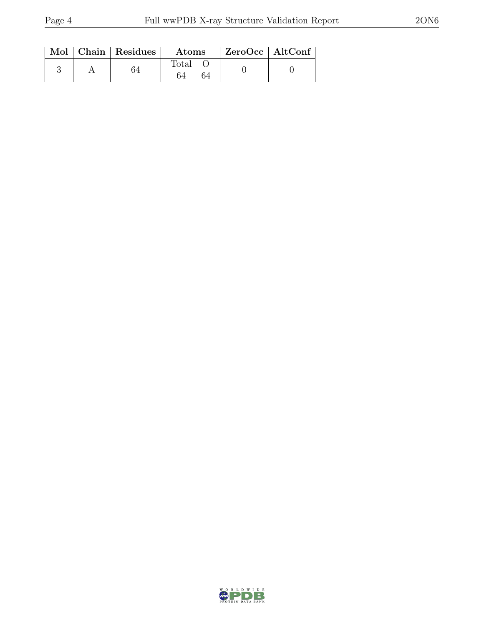|  | Mol   Chain   Residues | <b>Atoms</b> | $ZeroOcc \   \$ AltConf |
|--|------------------------|--------------|-------------------------|
|  | 74                     | Total<br>64  |                         |

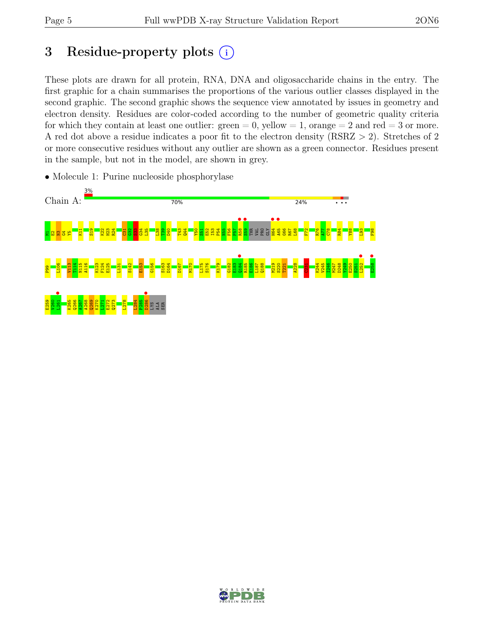# 3 Residue-property plots  $(i)$

These plots are drawn for all protein, RNA, DNA and oligosaccharide chains in the entry. The first graphic for a chain summarises the proportions of the various outlier classes displayed in the second graphic. The second graphic shows the sequence view annotated by issues in geometry and electron density. Residues are color-coded according to the number of geometric quality criteria for which they contain at least one outlier:  $green = 0$ , yellow  $= 1$ , orange  $= 2$  and red  $= 3$  or more. A red dot above a residue indicates a poor fit to the electron density (RSRZ > 2). Stretches of 2 or more consecutive residues without any outlier are shown as a green connector. Residues present in the sample, but not in the model, are shown in grey.



• Molecule 1: Purine nucleoside phosphorylase

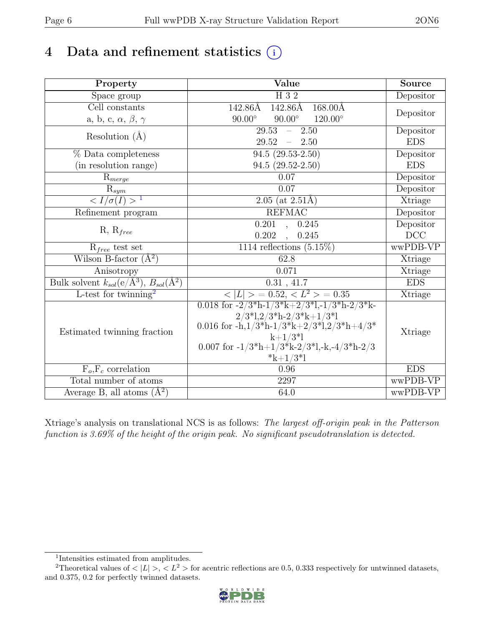# 4 Data and refinement statistics  $(i)$

| Property                                                               | Value                                                                                                                        | Source     |
|------------------------------------------------------------------------|------------------------------------------------------------------------------------------------------------------------------|------------|
| Space group                                                            | H 3 2                                                                                                                        | Depositor  |
| Cell constants                                                         | 142.86Å<br>142.86Å<br>$168.00\text{\AA}$                                                                                     |            |
| a, b, c, $\alpha$ , $\beta$ , $\gamma$                                 | $90.00^\circ$<br>$90.00^\circ$<br>$120.00^{\circ}$                                                                           | Depositor  |
| Resolution $(A)$                                                       | $\overline{29.53}$<br>2.50<br>$\frac{1}{2}$                                                                                  | Depositor  |
|                                                                        | 29.52<br>$-2.50$                                                                                                             | <b>EDS</b> |
| % Data completeness                                                    | $94.5(29.53-2.50)$                                                                                                           | Depositor  |
| (in resolution range)                                                  | $94.5(29.52-2.50)$                                                                                                           | <b>EDS</b> |
| $R_{merge}$                                                            | 0.07                                                                                                                         | Depositor  |
| $\mathbf{R}_{sym}$                                                     | 0.07                                                                                                                         | Depositor  |
| $\langle I/\sigma(I) \rangle$ <sup>1</sup>                             | $\overline{2.05}$ (at 2.51Å)                                                                                                 | Xtriage    |
| Refinement program                                                     | <b>REFMAC</b>                                                                                                                | Depositor  |
|                                                                        | 0.201<br>0.245<br>$\sim$                                                                                                     | Depositor  |
| $R, R_{free}$                                                          | 0.202<br>, 0.245                                                                                                             | DCC        |
| $R_{free}$ test set                                                    | 1114 reflections $(5.15\%)$                                                                                                  | wwPDB-VP   |
| Wilson B-factor $(A^2)$                                                | 62.8                                                                                                                         | Xtriage    |
| Anisotropy                                                             | 0.071                                                                                                                        | Xtriage    |
| Bulk solvent $k_{sol}(\mathrm{e}/\mathrm{A}^3), B_{sol}(\mathrm{A}^2)$ | 0.31, 41.7                                                                                                                   | <b>EDS</b> |
| L-test for twinning <sup>2</sup>                                       | $< \overline{L} >$ = 0.52, $<$ $L^2$ > = 0.35                                                                                | Xtriage    |
|                                                                        | 0.018 for $-2/3$ <sup>*</sup> h $-1/3$ <sup>*</sup> k $+2/3$ <sup>*</sup> l, $-1/3$ <sup>*</sup> h $-2/3$ <sup>*</sup> k $-$ |            |
|                                                                        | $2/3$ <sup>*</sup> l, $2/3$ <sup>*</sup> h- $2/3$ <sup>*</sup> k+1/3 <sup>*</sup> l                                          |            |
| Estimated twinning fraction                                            | 0.016 for -h, $1/3$ <sup>*</sup> h- $1/3$ <sup>*</sup> k+ $2/3$ <sup>*</sup> l, $2/3$ <sup>*h</sup> h+ $4/3$ <sup>*</sup>    | Xtriage    |
|                                                                        | $k+1/3*1$                                                                                                                    |            |
|                                                                        | 0.007 for $-1/3*h+1/3*k-2/3'l,-k,-4/3*h-2/3$<br>$*k+1/3*1$                                                                   |            |
| $F_o, F_c$ correlation                                                 | 0.96                                                                                                                         | <b>EDS</b> |
| Total number of atoms                                                  | 2297                                                                                                                         | wwPDB-VP   |
| Average B, all atoms $(A^2)$                                           | 64.0                                                                                                                         | wwPDB-VP   |
|                                                                        |                                                                                                                              |            |

Xtriage's analysis on translational NCS is as follows: The largest off-origin peak in the Patterson function is 3.69% of the height of the origin peak. No significant pseudotranslation is detected.

<sup>&</sup>lt;sup>2</sup>Theoretical values of  $\langle |L| \rangle$ ,  $\langle L^2 \rangle$  for acentric reflections are 0.5, 0.333 respectively for untwinned datasets, and 0.375, 0.2 for perfectly twinned datasets.



<span id="page-5-1"></span><span id="page-5-0"></span><sup>1</sup> Intensities estimated from amplitudes.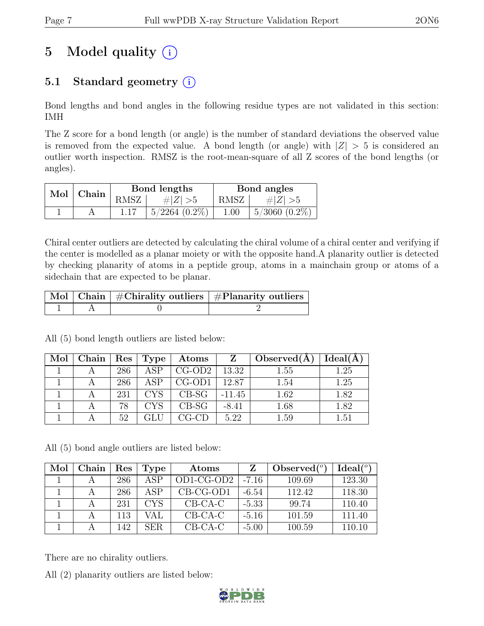# 5 Model quality  $(i)$

# 5.1 Standard geometry  $(i)$

Bond lengths and bond angles in the following residue types are not validated in this section: IMH

The Z score for a bond length (or angle) is the number of standard deviations the observed value is removed from the expected value. A bond length (or angle) with  $|Z| > 5$  is considered an outlier worth inspection. RMSZ is the root-mean-square of all Z scores of the bond lengths (or angles).

| Mol   Chain |      | Bond lengths       | Bond angles |                          |  |
|-------------|------|--------------------|-------------|--------------------------|--|
|             | RMSZ | $\# Z  > 5$        | RMSZ        | # $ Z  > 5$              |  |
|             |      | $5/2264$ $(0.2\%)$ | 1.00        | $\frac{15}{3060}$ (0.2%) |  |

Chiral center outliers are detected by calculating the chiral volume of a chiral center and verifying if the center is modelled as a planar moiety or with the opposite hand.A planarity outlier is detected by checking planarity of atoms in a peptide group, atoms in a mainchain group or atoms of a sidechain that are expected to be planar.

|  | $\mid$ Mol $\mid$ Chain $\mid$ #Chirality outliers $\mid$ #Planarity outliers $\mid$ |
|--|--------------------------------------------------------------------------------------|
|  |                                                                                      |

| Mol | Chain | $\operatorname{Res}$ | Type       | $\boldsymbol{\mathrm{Atoms}}$ | Z        | Observed(A) | Ideal(A) |
|-----|-------|----------------------|------------|-------------------------------|----------|-------------|----------|
|     |       | 286                  | ASP        | $CG-OD2$                      | 13.32    | 1.55        | 1.25     |
|     |       | 286                  | ASP        | $CG-OD1$                      | 12.87    | 1.54        | 1.25     |
|     |       | 231                  | <b>CYS</b> | $CB-SG$                       | $-11.45$ | 1.62        | 1.82     |
|     |       | 78                   | CYS        | $CB-SG$                       | $-8.41$  | 1.68        | 1.82     |
|     |       | 52                   |            |                               | 5.22     | 1.59        | 1.51     |

All (5) bond length outliers are listed below:

All (5) bond angle outliers are listed below:

| Mol | Chain | Res | Type | Atoms        |         | Observed $(°)$ | Ideal $(°)$ |
|-----|-------|-----|------|--------------|---------|----------------|-------------|
|     |       | 286 | ASP  | $OD1-CG-OD2$ | $-7.16$ | 109.69         | 123.30      |
|     |       | 286 | ASP  | $CB-CG-OD1$  | $-6.54$ | 112.42         | 118.30      |
|     |       | 231 | CYS. | $CB-CA-C$    | $-5.33$ | 99.74          | 110.40      |
|     |       | 113 | VAL  | $CB-CA-C$    | $-5.16$ | 101.59         | 111.40      |
|     |       | 142 | SER. | $CB-CA-C$    | $-5.00$ | 100.59         | 110.10      |

There are no chirality outliers.

All (2) planarity outliers are listed below:

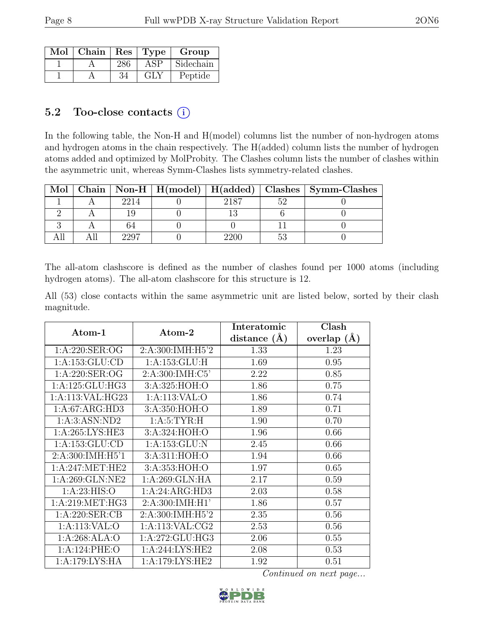| Mol | $ $ Chain $ $ Res $ $ Type |     |            | Group     |
|-----|----------------------------|-----|------------|-----------|
|     |                            | 286 | <b>ASP</b> | Sidechain |
|     |                            | 34  | GLY        | Peptide   |

### 5.2 Too-close contacts  $(i)$

In the following table, the Non-H and H(model) columns list the number of non-hydrogen atoms and hydrogen atoms in the chain respectively. The H(added) column lists the number of hydrogen atoms added and optimized by MolProbity. The Clashes column lists the number of clashes within the asymmetric unit, whereas Symm-Clashes lists symmetry-related clashes.

| Mol |      |      | Chain   Non-H   H(model)   H(added)   Clashes   Symm-Clashes |
|-----|------|------|--------------------------------------------------------------|
|     | 2214 | 2187 |                                                              |
|     |      |      |                                                              |
|     |      |      |                                                              |
|     |      |      |                                                              |

The all-atom clashscore is defined as the number of clashes found per 1000 atoms (including hydrogen atoms). The all-atom clashscore for this structure is 12.

All (53) close contacts within the same asymmetric unit are listed below, sorted by their clash magnitude.

| Atom-1             | Atom-2             | Interatomic      | Clash           |
|--------------------|--------------------|------------------|-----------------|
|                    |                    | distance $(\AA)$ | overlap $(\AA)$ |
| 1:A:220:SER:OG     | 2:A:300:IMH:H5'2   | 1.33             | 1.23            |
| 1: A: 153: GLU: CD | 1: A: 153: GLU: H  | 1.69             | 0.95            |
| 1: A:220: SER:OG   | 2:A:300:IMH:C5'    | 2.22             | 0.85            |
| 1:A:125:GLU:HG3    | 3:A:325:HOH:O      | 1.86             | 0.75            |
| 1:A:113:VAL:HG23   | 1:A:113:VAL:O      | 1.86             | 0.74            |
| 1:A:67:ARG:HD3     | 3:A:350:HOH:O      | 1.89             | 0.71            |
| 1: A:3: ASN: ND2   | 1: A: 5: TYR: H    | 1.90             | 0.70            |
| 1: A:265: LYS: HE3 | 3:A:324:HOH:O      | 1.96             | 0.66            |
| 1: A: 153: GLU: CD | 1:A:153:GLU:N      | 2.45             | 0.66            |
| 2:A:300:IMH:H5'1   | 3:A:311:HOH:O      | 1.94             | 0.66            |
| 1: A:247: MET:HE2  | 3:A:353:HOH:O      | 1.97             | 0.65            |
| 1: A:269: GLN:NE2  | 1: A:269: GLN: HA  | 2.17             | 0.59            |
| 1: A:23: HIS:O     | 1:A:24:ARG:HD3     | 2.03             | 0.58            |
| 1: A:219: MET:HG3  | 2: A:300: IMH:HI'  | 1.86             | 0.57            |
| 1: A:220: SER:CB   | 2:A:300:IMH:H5'2   | 2.35             | 0.56            |
| 1:A:113:VAL:O      | 1: A:113: VAL: CG2 | 2.53             | 0.56            |
| 1:A:268:ALA:O      | 1:A:272:GLU:HG3    | 2.06             | 0.55            |
| 1:A:124:PHE:O      | 1:A:244:LYS:HE2    | 2.08             | 0.53            |
| 1:A:179:LYS:HA     | 1:A:179:LYS:HE2    | 1.92             | 0.51            |

Continued on next page...

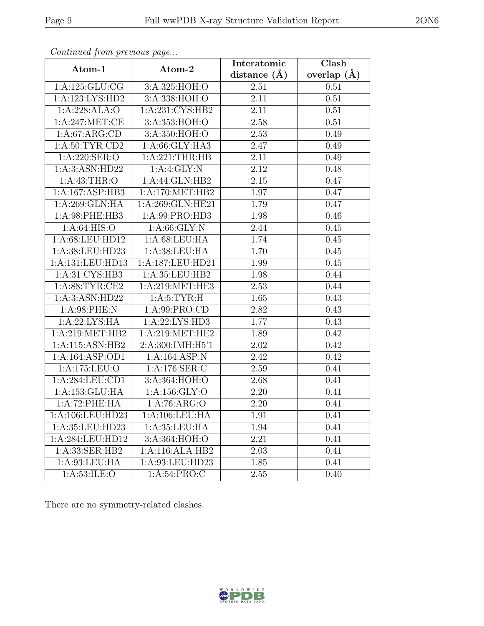| Continuation procession pugo |                                      | Interatomic       | $\overline{\text{Clash}}$ |
|------------------------------|--------------------------------------|-------------------|---------------------------|
| Atom-1                       | Atom-2                               | distance $(\AA)$  | overlap $(\AA)$           |
| 1:A:125:GLU:CG               | 3:A:325:HOH:O                        | 2.51              | 0.51                      |
| 1:A:123:LYS:HD2              | 3:A:338:HOH:O                        | 2.11              | 0.51                      |
| 1:A:228:ALA:O                | 1:A:231:CYS:HB2                      | 2.11              | 0.51                      |
| 1:A:247:MET:CE               | 3:A:353:HOH:O                        | 2.58              | 0.51                      |
| 1:A:67:ARG:CD                | 3:A:350:HOH:O                        | 2.53              | 0.49                      |
| 1: A:50: TYR:CD2             | 1:A:66:GLY:HA3                       | 2.47              | 0.49                      |
| $1:\overline{A:220:SER:O}$   | 1: A:221:THR:HB                      | 2.11              | 0.49                      |
| 1:A:3:ASN:HD22               | 1:A:4:GLY:N                          | 2.12              | 0.48                      |
| 1: A: 43: THR: O             | 1:A:44:GLN:HB2                       | $\overline{2.15}$ | 0.47                      |
| 1:A:167:ASP:HB3              | 1:A:170:MET:HB2                      | 1.97              | 0.47                      |
| 1:A:269:GLN:HA               | 1:A:269:GLN:HE21                     | 1.79              | 0.47                      |
| 1:A:98:PHE:HB3               | 1:A:99:PRO:HD3                       | 1.98              | 0.46                      |
| 1: A:64: HIS:O               | 1: A:66: GLY:N                       | $\overline{2.44}$ | 0.45                      |
| 1:A:68:LEU:HD12              | 1: A:68:LEU:HA                       | 1.74              | 0.45                      |
| 1:A:38:LEU:HD23              | 1:A:38:LEU:HA                        | 1.70              | 0.45                      |
| 1:A:131:LEU:HD13             | 1:A:187:LEU:HD21                     | 1.99              | 0.45                      |
| 1:A:31:CYS:HB3               | 1:A:35:LEU:HB2                       | 1.98              | 0.44                      |
| 1: A:88: TYR: CE2            | 1:A:219:MET:HE3                      | 2.53              | 0.44                      |
| 1:A:3:ASN:HD22               | 1: A: 5: TYR: H                      | 1.65              | 0.43                      |
| 1: A:98: PHE: N              | 1: A:99: PRO:CD                      | 2.82              | 0.43                      |
| 1: A:22: LYS: HA             | 1:A:22:LYS:HD3                       | 1.77              | 0.43                      |
| 1: A:219: MET:HB2            | 1: A:219: MET:HE2                    | 1.89              | 0.42                      |
| 1:A:115:ASN:HB2              | 2:A:300:IMH:H5'1                     | 2.02              | 0.42                      |
| 1:A:164:ASP:OD1              | $1:\overline{A:164:ASP:N}$           | 2.42              | 0.42                      |
| 1:A:175:LEU:O                | 1:A:176:SER:C                        | 2.59              | 0.41                      |
| 1: A:284:LEU:CD1             | 3:A:364:HOH:O                        | 2.68              | 0.41                      |
| 1: A: 153: GLU: HA           | 1:A:156:GLY:O                        | 2.20              | 0.41                      |
| 1:A:72:PHE:HA                | 1:A:76:ARG:O                         | 2.20              | 0.41                      |
| 1:A:106:LEU:HD23             | $1:A:106:\overline{\textrm{LEU:HA}}$ | 1.91              | 0.41                      |
| 1: A:35: LEU:HD23            | 1:A:35:LEU:HA                        | 1.94              | 0.41                      |
| 1:A:284:LEU:HD12             | 3:A:364:HOH:O                        | 2.21              | 0.41                      |
| 1:A:33:SER:HB2               | 1:A:116:ALA:HB2                      | 2.03              | 0.41                      |
| 1:A:93:LEU:HA                | 1:A:93:LEU:HD23                      | 1.85              | 0.41                      |
| 1:A:53:ILE:O                 | 1:A:54:PRO:C                         | 2.55              | 0.40                      |

Continued from previous page.

There are no symmetry-related clashes.

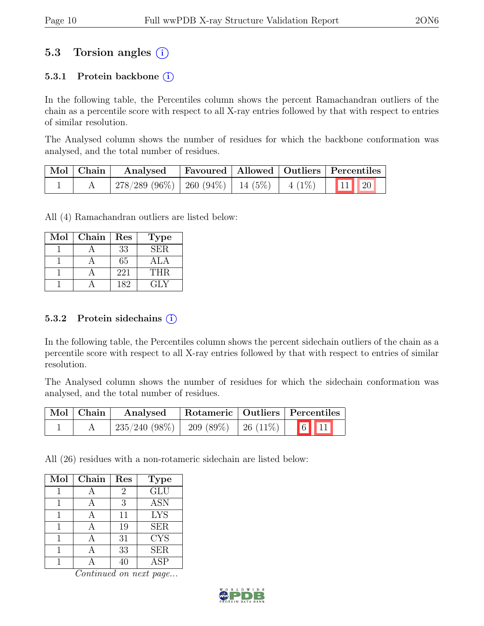# 5.3 Torsion angles (i)

### 5.3.1 Protein backbone  $(i)$

In the following table, the Percentiles column shows the percent Ramachandran outliers of the chain as a percentile score with respect to all X-ray entries followed by that with respect to entries of similar resolution.

The Analysed column shows the number of residues for which the backbone conformation was analysed, and the total number of residues.

| $\vert$ Mol $\vert$ Chain $\vert$ | Analysed                                                                        |  | Favoured   Allowed   Outliers   Percentiles |
|-----------------------------------|---------------------------------------------------------------------------------|--|---------------------------------------------|
|                                   | $\mid$ 278/289 (96%) $\mid$ 260 (94%) $\mid$ 14 (5%) $\mid$ 4 (1%) $\mid$ 11 20 |  |                                             |

All (4) Ramachandran outliers are listed below:

| Mol | Chain | Res | <b>Type</b>      |
|-----|-------|-----|------------------|
|     |       | 33  | SER.             |
|     |       | 65  | A <sup>T</sup> A |
|     |       | 221 | THR.             |
|     |       | 182 | GLY              |

#### 5.3.2 Protein sidechains (i)

In the following table, the Percentiles column shows the percent sidechain outliers of the chain as a percentile score with respect to all X-ray entries followed by that with respect to entries of similar resolution.

The Analysed column shows the number of residues for which the sidechain conformation was analysed, and the total number of residues.

| $\mid$ Mol $\mid$ Chain $\mid$ | Analysed                                  | Rotameric   Outliers   Percentiles |                                                             |
|--------------------------------|-------------------------------------------|------------------------------------|-------------------------------------------------------------|
|                                | $235/240$ (98\%)   209 (89\%)   26 (11\%) |                                    | $\begin{array}{ c c c }\hline 6 & 11 \\ \hline \end{array}$ |

All (26) residues with a non-rotameric sidechain are listed below:

| Mol | Chain | Res | <b>Type</b>             |
|-----|-------|-----|-------------------------|
|     |       | 2   | $\overline{\text{GLU}}$ |
|     |       | 3   | <b>ASN</b>              |
| 1   |       | 11  | <b>LYS</b>              |
|     |       | 19  | <b>SER</b>              |
|     |       | 31  | <b>CYS</b>              |
|     |       | 33  | <b>SER</b>              |
|     |       |     | ASP                     |

Continued on next page...

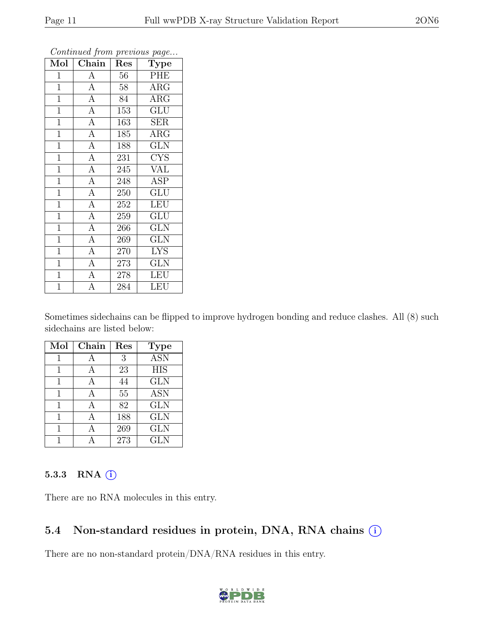| Mol            | ${\rm Chain}$  | Res | <b>Type</b>             |
|----------------|----------------|-----|-------------------------|
| 1              | А              | 56  | PHE                     |
| $\mathbf{1}$   | $\overline{A}$ | 58  | $\rm{ARG}$              |
| $\overline{1}$ | $\overline{A}$ | 84  | $\rm{ARG}$              |
| $\mathbf{1}$   | $\overline{A}$ | 153 | <b>GLU</b>              |
| $\overline{1}$ | $\overline{A}$ | 163 | SER                     |
| $\mathbf{1}$   | $\overline{A}$ | 185 | $\rm{ARG}$              |
| $\mathbf{1}$   | $\overline{A}$ | 188 | <b>GLN</b>              |
| $\overline{1}$ | $\overline{A}$ | 231 | <b>CYS</b>              |
| $\overline{1}$ | $\overline{A}$ | 245 | <b>VAL</b>              |
| $\overline{1}$ | $\overline{A}$ | 248 | $\overline{\text{ASP}}$ |
| $\overline{1}$ | $\overline{A}$ | 250 | <b>GLU</b>              |
| $\overline{1}$ | $\overline{A}$ | 252 | LEU                     |
| $\mathbf{1}$   | $\overline{A}$ | 259 | GLU                     |
| $\mathbf{1}$   | $\overline{A}$ | 266 | <b>GLN</b>              |
| $\overline{1}$ | $\overline{A}$ | 269 | <b>GLN</b>              |
| $\overline{1}$ | $\overline{A}$ | 270 | <b>LYS</b>              |
| $\mathbf{1}$   | $\overline{A}$ | 273 | GLN                     |
| $\overline{1}$ | $\overline{A}$ | 278 | <b>LEU</b>              |
| $\overline{1}$ | $\overline{A}$ | 284 | <b>LEU</b>              |

Continued from previous page.

Sometimes sidechains can be flipped to improve hydrogen bonding and reduce clashes. All (8) such sidechains are listed below:

| Mol | Chain | Res | <b>Type</b>      |
|-----|-------|-----|------------------|
|     |       | 3   | <b>ASN</b>       |
|     |       | 23  | $\overline{HIS}$ |
| 1   | А     | 44  | <b>GLN</b>       |
| 1   | А     | 55  | <b>ASN</b>       |
|     | А     | 82  | <b>GLN</b>       |
|     |       | 188 | <b>GLN</b>       |
|     |       | 269 | <b>GLN</b>       |
|     |       | 273 | <b>GLN</b>       |

#### 5.3.3 RNA (i)

There are no RNA molecules in this entry.

### 5.4 Non-standard residues in protein, DNA, RNA chains  $(i)$

There are no non-standard protein/DNA/RNA residues in this entry.

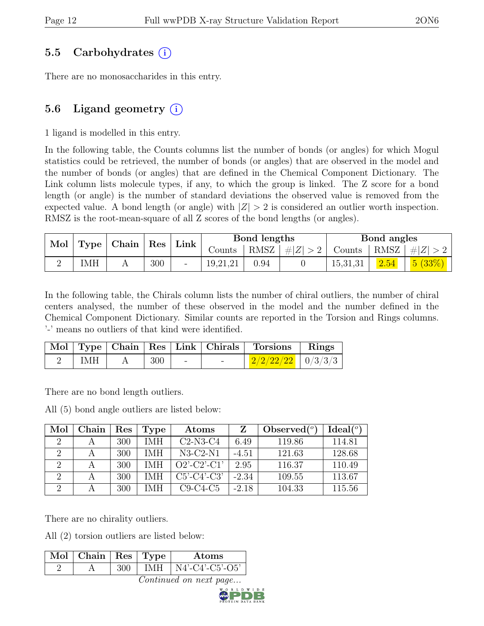# 5.5 Carbohydrates (i)

There are no monosaccharides in this entry.

# 5.6 Ligand geometry  $(i)$

1 ligand is modelled in this entry.

In the following table, the Counts columns list the number of bonds (or angles) for which Mogul statistics could be retrieved, the number of bonds (or angles) that are observed in the model and the number of bonds (or angles) that are defined in the Chemical Component Dictionary. The Link column lists molecule types, if any, to which the group is linked. The Z score for a bond length (or angle) is the number of standard deviations the observed value is removed from the expected value. A bond length (or angle) with  $|Z| > 2$  is considered an outlier worth inspection. RMSZ is the root-mean-square of all Z scores of the bond lengths (or angles).

| Mol |     | $\top$ Type   Chain   Res |     | $\perp$ Link | Bond lengths |      |                 | Bond angles |      |                                            |  |
|-----|-----|---------------------------|-----|--------------|--------------|------|-----------------|-------------|------|--------------------------------------------|--|
|     |     |                           |     |              | Counts       |      | RMSZ $ #Z  > 2$ |             |      | Counts   RMSZ $\vert \# \vert Z \vert > 2$ |  |
|     | IMH |                           | 300 |              | 19,21,21     | 0.94 |                 | 15,31,31    | 2.54 | 5(33%)                                     |  |

In the following table, the Chirals column lists the number of chiral outliers, the number of chiral centers analysed, the number of these observed in the model and the number defined in the Chemical Component Dictionary. Similar counts are reported in the Torsion and Rings columns. '-' means no outliers of that kind were identified.

|     |     |                          |                          | Mol   Type   Chain   Res   Link   Chirals   Torsions   Rings |  |
|-----|-----|--------------------------|--------------------------|--------------------------------------------------------------|--|
| IMH | 300 | $\overline{\phantom{0}}$ | $\overline{\phantom{0}}$ | $2/2/22/22$   0/3/3/3                                        |  |

There are no bond length outliers.

All (5) bond angle outliers are listed below:

| Mol                         | Chain | $\operatorname{Res}% \left( \mathcal{N}\right) \equiv\operatorname{Res}(\mathcal{N}_{0})\cap\mathcal{N}_{1}$ | Type       | Atoms          | Z       | Observed $(°)$ | Ideal $(°)$ |
|-----------------------------|-------|--------------------------------------------------------------------------------------------------------------|------------|----------------|---------|----------------|-------------|
| $\mathcal{D}_{\mathcal{L}}$ |       | 300                                                                                                          | <b>IMH</b> | $C2-N3-C4$     | 6.49    | 119.86         | 114.81      |
| 2                           |       | 300                                                                                                          | <b>IMH</b> | $N3-C2-N1$     | $-4.51$ | 121.63         | 128.68      |
| $\mathcal{D}_{\mathcal{L}}$ |       | 300                                                                                                          | <b>IMH</b> | $O2'$ -C2'-C1' | 2.95    | 116.37         | 110.49      |
| $\mathcal{D}$               |       | 300                                                                                                          | IMH        | $C5'-C4'-C3'$  | $-2.34$ | 109.55         | 113.67      |
| റ                           |       | 300                                                                                                          | IMH        | $C9-C4-C5$     | $-2.18$ | 104.33         | 115.56      |

There are no chirality outliers.

All (2) torsion outliers are listed below:

| $\overline{\text{Mol} \mid \text{Chain} \mid \text{Res} \mid \text{Type} \mid}$ |            | Atoms             |
|---------------------------------------------------------------------------------|------------|-------------------|
|                                                                                 | <b>IMH</b> | $N4'-C4'-C5'-O5'$ |

Continued on next page...

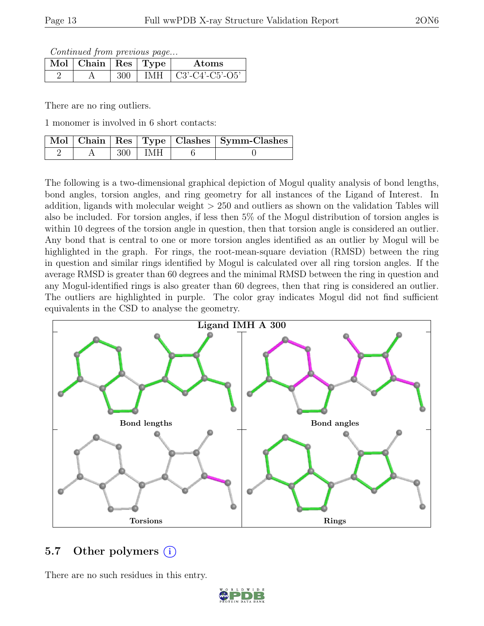Continued from previous page...

| Mol | $\top$ Chain   Res   Type ' |  | Atoms             |
|-----|-----------------------------|--|-------------------|
|     |                             |  | $C3'-C4'-C5'-O5'$ |

There are no ring outliers.

1 monomer is involved in 6 short contacts:

|  |                        | Mol   Chain   Res   Type   Clashes   Symm-Clashes |
|--|------------------------|---------------------------------------------------|
|  | $300 \perp \text{IMH}$ |                                                   |

The following is a two-dimensional graphical depiction of Mogul quality analysis of bond lengths, bond angles, torsion angles, and ring geometry for all instances of the Ligand of Interest. In addition, ligands with molecular weight > 250 and outliers as shown on the validation Tables will also be included. For torsion angles, if less then 5% of the Mogul distribution of torsion angles is within 10 degrees of the torsion angle in question, then that torsion angle is considered an outlier. Any bond that is central to one or more torsion angles identified as an outlier by Mogul will be highlighted in the graph. For rings, the root-mean-square deviation (RMSD) between the ring in question and similar rings identified by Mogul is calculated over all ring torsion angles. If the average RMSD is greater than 60 degrees and the minimal RMSD between the ring in question and any Mogul-identified rings is also greater than 60 degrees, then that ring is considered an outlier. The outliers are highlighted in purple. The color gray indicates Mogul did not find sufficient equivalents in the CSD to analyse the geometry.



### 5.7 Other polymers  $(i)$

There are no such residues in this entry.

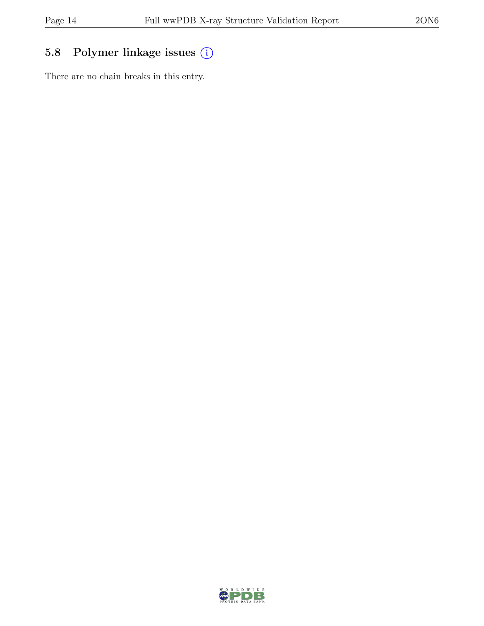# 5.8 Polymer linkage issues (i)

There are no chain breaks in this entry.

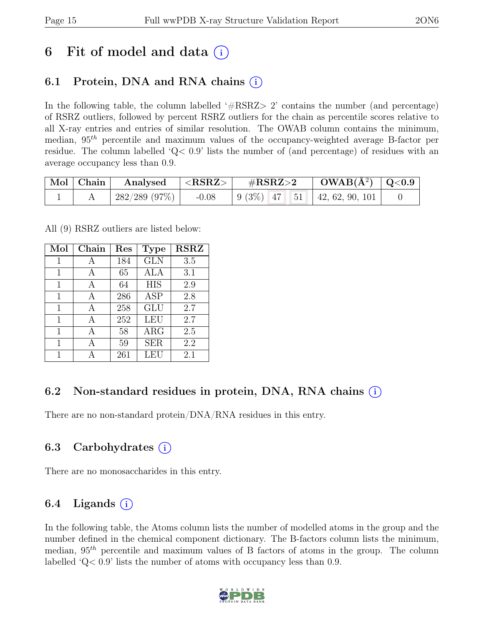# 6 Fit of model and data  $(i)$

# 6.1 Protein, DNA and RNA chains  $(i)$

In the following table, the column labelled  $#RSRZ>2$  contains the number (and percentage) of RSRZ outliers, followed by percent RSRZ outliers for the chain as percentile scores relative to all X-ray entries and entries of similar resolution. The OWAB column contains the minimum, median,  $95<sup>th</sup>$  percentile and maximum values of the occupancy-weighted average B-factor per residue. The column labelled 'Q< 0.9' lists the number of (and percentage) of residues with an average occupancy less than 0.9.

| $\mid$ Mol $\mid$ Chain $\mid$ | Analysed $ \langle \text{RSRZ}\rangle $ |         | $\rm \#RSRZ{>}2$ |  | $\text{OWAB}(\AA^2) \mid \text{Q}<0.9$ |                                                                                                     |  |
|--------------------------------|-----------------------------------------|---------|------------------|--|----------------------------------------|-----------------------------------------------------------------------------------------------------|--|
|                                | 282/289 (97%)                           | $-0.08$ |                  |  |                                        | $\begin{array}{ c c c c c c c c } \hline 9 & 3\% & 47 & 51 & 42 & 62 & 90 & 101 \hline \end{array}$ |  |

All (9) RSRZ outliers are listed below:

| Mol | Chain | $\operatorname{Res}% \left( \mathcal{N}\right) \equiv\operatorname{Res}(\mathcal{N}_{0},\mathcal{N}_{0})$ | <b>Type</b> | <b>RSRZ</b> |
|-----|-------|-----------------------------------------------------------------------------------------------------------|-------------|-------------|
| 1   | А     | 184                                                                                                       | <b>GLN</b>  | 3.5         |
| 1   | A     | 65                                                                                                        | ALA         | 3.1         |
| 1   | А     | 64                                                                                                        | <b>HIS</b>  | 2.9         |
| 1   |       | 286                                                                                                       | <b>ASP</b>  | 2.8         |
| 1   | A     | 258                                                                                                       | <b>GLU</b>  | 2.7         |
| 1   | A     | 252                                                                                                       | <b>LEU</b>  | 2.7         |
| 1   | A     | 58                                                                                                        | $\rm{ARG}$  | 2.5         |
| 1   | А     | 59                                                                                                        | <b>SER</b>  | 2.2         |
| 1   |       | 261                                                                                                       | LEU         | 2.1         |

# 6.2 Non-standard residues in protein, DNA, RNA chains  $(i)$

There are no non-standard protein/DNA/RNA residues in this entry.

# 6.3 Carbohydrates  $(i)$

There are no monosaccharides in this entry.

# 6.4 Ligands  $(i)$

In the following table, the Atoms column lists the number of modelled atoms in the group and the number defined in the chemical component dictionary. The B-factors column lists the minimum, median,  $95<sup>th</sup>$  percentile and maximum values of B factors of atoms in the group. The column labelled 'Q< 0.9' lists the number of atoms with occupancy less than 0.9.